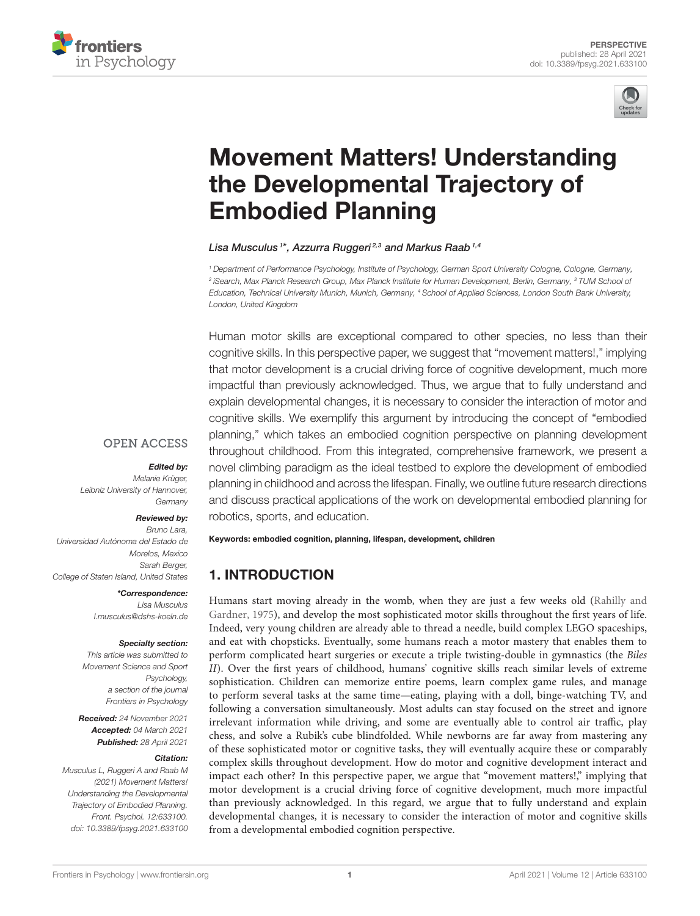



# [Movement Matters! Understanding](https://www.frontiersin.org/articles/10.3389/fpsyg.2021.633100/full) the Developmental Trajectory of Embodied Planning

Lisa Musculus <sup>1\*</sup>, Azzurra Ruggeri 2,3 and Markus Raab 1,4

<sup>1</sup> Department of Performance Psychology, Institute of Psychology, German Sport University Cologne, Cologne, Germany, <sup>2</sup> iSearch, Max Planck Research Group, Max Planck Institute for Human Development, Berlin, Germany, <sup>3</sup> TUM School oi Education, Technical University Munich, Munich, Germany, <sup>4</sup> School of Applied Sciences, London South Bank University, London, United Kingdom

Human motor skills are exceptional compared to other species, no less than their cognitive skills. In this perspective paper, we suggest that "movement matters!," implying that motor development is a crucial driving force of cognitive development, much more impactful than previously acknowledged. Thus, we argue that to fully understand and explain developmental changes, it is necessary to consider the interaction of motor and cognitive skills. We exemplify this argument by introducing the concept of "embodied planning," which takes an embodied cognition perspective on planning development throughout childhood. From this integrated, comprehensive framework, we present a novel climbing paradigm as the ideal testbed to explore the development of embodied planning in childhood and across the lifespan. Finally, we outline future research directions and discuss practical applications of the work on developmental embodied planning for

#### **OPEN ACCESS**

#### Edited by:

Melanie Krüger, Leibniz University of Hannover, Germany

#### Reviewed by:

Bruno Lara, Universidad Autónoma del Estado de Morelos, Mexico Sarah Berger, College of Staten Island, United States

\*Correspondence:

Lisa Musculus [l.musculus@dshs-koeln.de](mailto:l.musculus@dshs-koeln.de)

#### Specialty section:

This article was submitted to Movement Science and Sport Psychology, a section of the journal Frontiers in Psychology

Received: 24 November 2021 Accepted: 04 March 2021 Published: 28 April 2021

#### Citation:

Musculus L, Ruggeri A and Raab M (2021) Movement Matters! Understanding the Developmental Trajectory of Embodied Planning. Front. Psychol. 12:633100. doi: [10.3389/fpsyg.2021.633100](https://doi.org/10.3389/fpsyg.2021.633100) robotics, sports, and education.

Keywords: embodied cognition, planning, lifespan, development, children

# 1. INTRODUCTION

Humans start moving already in the womb, when they are just a few weeks old (Rahilly and Gardner, [1975\)](#page-6-0), and develop the most sophisticated motor skills throughout the first years of life. Indeed, very young children are already able to thread a needle, build complex LEGO spaceships, and eat with chopsticks. Eventually, some humans reach a motor mastery that enables them to perform complicated heart surgeries or execute a triple twisting-double in gymnastics (the Biles II). Over the first years of childhood, humans' cognitive skills reach similar levels of extreme sophistication. Children can memorize entire poems, learn complex game rules, and manage to perform several tasks at the same time—eating, playing with a doll, binge-watching TV, and following a conversation simultaneously. Most adults can stay focused on the street and ignore irrelevant information while driving, and some are eventually able to control air traffic, play chess, and solve a Rubik's cube blindfolded. While newborns are far away from mastering any of these sophisticated motor or cognitive tasks, they will eventually acquire these or comparably complex skills throughout development. How do motor and cognitive development interact and impact each other? In this perspective paper, we argue that "movement matters!," implying that motor development is a crucial driving force of cognitive development, much more impactful than previously acknowledged. In this regard, we argue that to fully understand and explain developmental changes, it is necessary to consider the interaction of motor and cognitive skills from a developmental embodied cognition perspective.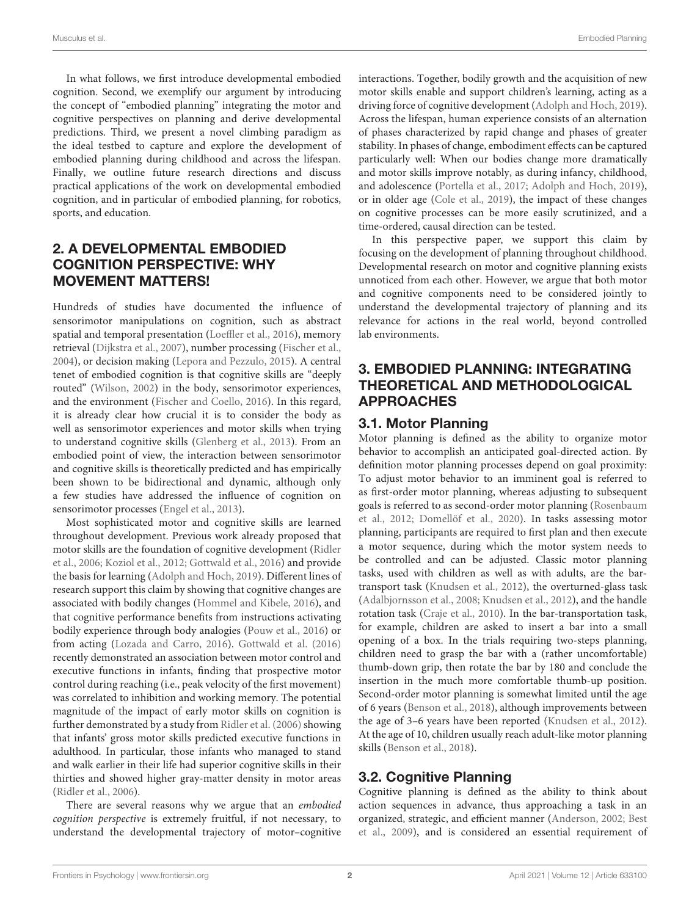In what follows, we first introduce developmental embodied cognition. Second, we exemplify our argument by introducing the concept of "embodied planning" integrating the motor and cognitive perspectives on planning and derive developmental predictions. Third, we present a novel climbing paradigm as the ideal testbed to capture and explore the development of embodied planning during childhood and across the lifespan. Finally, we outline future research directions and discuss practical applications of the work on developmental embodied cognition, and in particular of embodied planning, for robotics, sports, and education.

## 2. A DEVELOPMENTAL EMBODIED COGNITION PERSPECTIVE: WHY MOVEMENT MATTERS!

Hundreds of studies have documented the influence of sensorimotor manipulations on cognition, such as abstract spatial and temporal presentation [\(Loeffler et al., 2016\)](#page-6-1), memory retrieval [\(Dijkstra et al., 2007\)](#page-5-0), number processing [\(Fischer et al.,](#page-6-2) [2004\)](#page-6-2), or decision making [\(Lepora and Pezzulo, 2015\)](#page-6-3). A central tenet of embodied cognition is that cognitive skills are "deeply routed" [\(Wilson, 2002\)](#page-6-4) in the body, sensorimotor experiences, and the environment [\(Fischer and Coello, 2016\)](#page-5-1). In this regard, it is already clear how crucial it is to consider the body as well as sensorimotor experiences and motor skills when trying to understand cognitive skills [\(Glenberg et al., 2013\)](#page-6-5). From an embodied point of view, the interaction between sensorimotor and cognitive skills is theoretically predicted and has empirically been shown to be bidirectional and dynamic, although only a few studies have addressed the influence of cognition on sensorimotor processes [\(Engel et al., 2013\)](#page-5-2).

Most sophisticated motor and cognitive skills are learned throughout development. Previous work already proposed that motor skills are the foundation of cognitive development (Ridler et al., [2006;](#page-6-6) [Koziol et al., 2012;](#page-6-7) [Gottwald et al., 2016\)](#page-6-8) and provide the basis for learning [\(Adolph and Hoch, 2019\)](#page-5-3). Different lines of research support this claim by showing that cognitive changes are associated with bodily changes [\(Hommel and Kibele, 2016\)](#page-6-9), and that cognitive performance benefits from instructions activating bodily experience through body analogies [\(Pouw et al., 2016\)](#page-6-10) or from acting [\(Lozada and Carro, 2016\)](#page-6-11). [Gottwald et al. \(2016\)](#page-6-8) recently demonstrated an association between motor control and executive functions in infants, finding that prospective motor control during reaching (i.e., peak velocity of the first movement) was correlated to inhibition and working memory. The potential magnitude of the impact of early motor skills on cognition is further demonstrated by a study from [Ridler et al. \(2006\)](#page-6-6) showing that infants' gross motor skills predicted executive functions in adulthood. In particular, those infants who managed to stand and walk earlier in their life had superior cognitive skills in their thirties and showed higher gray-matter density in motor areas [\(Ridler et al., 2006\)](#page-6-6).

There are several reasons why we argue that an embodied cognition perspective is extremely fruitful, if not necessary, to understand the developmental trajectory of motor–cognitive interactions. Together, bodily growth and the acquisition of new motor skills enable and support children's learning, acting as a driving force of cognitive development [\(Adolph and Hoch, 2019\)](#page-5-3). Across the lifespan, human experience consists of an alternation of phases characterized by rapid change and phases of greater stability. In phases of change, embodiment effects can be captured particularly well: When our bodies change more dramatically and motor skills improve notably, as during infancy, childhood, and adolescence [\(Portella et al., 2017;](#page-6-12) [Adolph and Hoch, 2019\)](#page-5-3), or in older age [\(Cole et al., 2019\)](#page-5-4), the impact of these changes on cognitive processes can be more easily scrutinized, and a time-ordered, causal direction can be tested.

In this perspective paper, we support this claim by focusing on the development of planning throughout childhood. Developmental research on motor and cognitive planning exists unnoticed from each other. However, we argue that both motor and cognitive components need to be considered jointly to understand the developmental trajectory of planning and its relevance for actions in the real world, beyond controlled lab environments.

## 3. EMBODIED PLANNING: INTEGRATING THEORETICAL AND METHODOLOGICAL APPROACHES

### 3.1. Motor Planning

Motor planning is defined as the ability to organize motor behavior to accomplish an anticipated goal-directed action. By definition motor planning processes depend on goal proximity: To adjust motor behavior to an imminent goal is referred to as first-order motor planning, whereas adjusting to subsequent goals is referred to as second-order motor planning (Rosenbaum et al., [2012;](#page-6-13) [Domellöf et al., 2020\)](#page-5-5). In tasks assessing motor planning, participants are required to first plan and then execute a motor sequence, during which the motor system needs to be controlled and can be adjusted. Classic motor planning tasks, used with children as well as with adults, are the bartransport task [\(Knudsen et al., 2012\)](#page-6-14), the overturned-glass task [\(Adalbjornsson et al., 2008;](#page-5-6) [Knudsen et al., 2012\)](#page-6-14), and the handle rotation task [\(Craje et al., 2010\)](#page-5-7). In the bar-transportation task, for example, children are asked to insert a bar into a small opening of a box. In the trials requiring two-steps planning, children need to grasp the bar with a (rather uncomfortable) thumb-down grip, then rotate the bar by 180 and conclude the insertion in the much more comfortable thumb-up position. Second-order motor planning is somewhat limited until the age of 6 years [\(Benson et al., 2018\)](#page-5-8), although improvements between the age of 3–6 years have been reported [\(Knudsen et al., 2012\)](#page-6-14). At the age of 10, children usually reach adult-like motor planning skills [\(Benson et al., 2018\)](#page-5-8).

### 3.2. Cognitive Planning

Cognitive planning is defined as the ability to think about action sequences in advance, thus approaching a task in an organized, strategic, and efficient manner [\(Anderson, 2002;](#page-5-9) Best et al., [2009\)](#page-5-10), and is considered an essential requirement of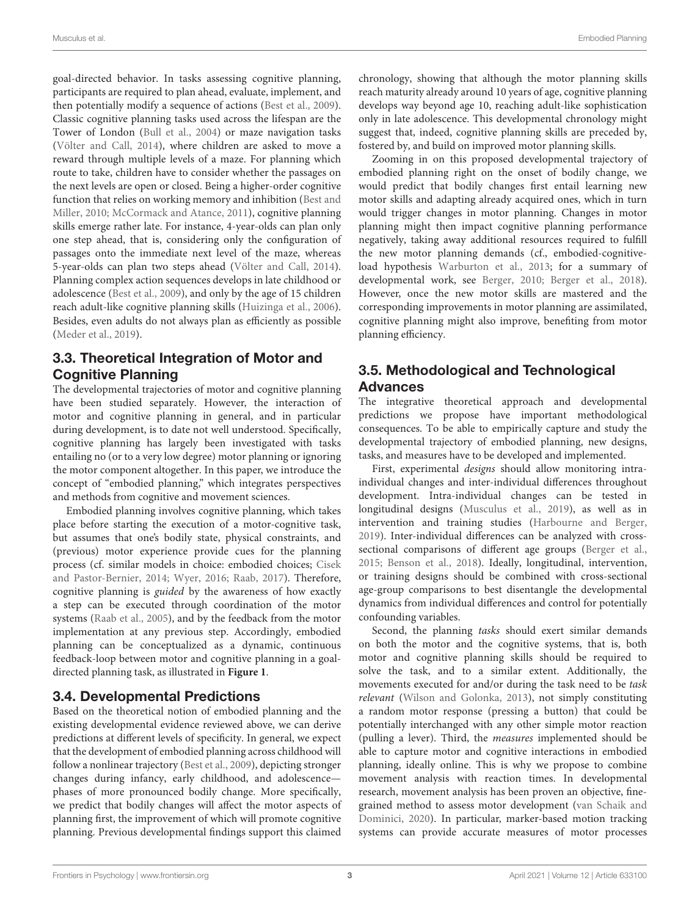goal-directed behavior. In tasks assessing cognitive planning, participants are required to plan ahead, evaluate, implement, and then potentially modify a sequence of actions [\(Best et al., 2009\)](#page-5-10). Classic cognitive planning tasks used across the lifespan are the Tower of London [\(Bull et al., 2004\)](#page-5-11) or maze navigation tasks [\(Völter and Call, 2014\)](#page-6-15), where children are asked to move a reward through multiple levels of a maze. For planning which route to take, children have to consider whether the passages on the next levels are open or closed. Being a higher-order cognitive function that relies on working memory and inhibition (Best and Miller, [2010;](#page-5-12) [McCormack and Atance, 2011\)](#page-6-16), cognitive planning skills emerge rather late. For instance, 4-year-olds can plan only one step ahead, that is, considering only the configuration of passages onto the immediate next level of the maze, whereas 5-year-olds can plan two steps ahead [\(Völter and Call, 2014\)](#page-6-15). Planning complex action sequences develops in late childhood or adolescence [\(Best et al., 2009\)](#page-5-10), and only by the age of 15 children reach adult-like cognitive planning skills [\(Huizinga et al., 2006\)](#page-6-17). Besides, even adults do not always plan as efficiently as possible [\(Meder et al., 2019\)](#page-6-18).

# 3.3. Theoretical Integration of Motor and Cognitive Planning

The developmental trajectories of motor and cognitive planning have been studied separately. However, the interaction of motor and cognitive planning in general, and in particular during development, is to date not well understood. Specifically, cognitive planning has largely been investigated with tasks entailing no (or to a very low degree) motor planning or ignoring the motor component altogether. In this paper, we introduce the concept of "embodied planning," which integrates perspectives and methods from cognitive and movement sciences.

Embodied planning involves cognitive planning, which takes place before starting the execution of a motor-cognitive task, but assumes that one's bodily state, physical constraints, and (previous) motor experience provide cues for the planning process (cf. similar models in choice: embodied choices; Cisek and Pastor-Bernier, [2014;](#page-5-13) [Wyer, 2016;](#page-6-19) [Raab, 2017\)](#page-6-20). Therefore, cognitive planning is guided by the awareness of how exactly a step can be executed through coordination of the motor systems [\(Raab et al., 2005\)](#page-6-21), and by the feedback from the motor implementation at any previous step. Accordingly, embodied planning can be conceptualized as a dynamic, continuous feedback-loop between motor and cognitive planning in a goaldirected planning task, as illustrated in **[Figure 1](#page-3-0)**.

# 3.4. Developmental Predictions

Based on the theoretical notion of embodied planning and the existing developmental evidence reviewed above, we can derive predictions at different levels of specificity. In general, we expect that the development of embodied planning across childhood will follow a nonlinear trajectory [\(Best et al., 2009\)](#page-5-10), depicting stronger changes during infancy, early childhood, and adolescence phases of more pronounced bodily change. More specifically, we predict that bodily changes will affect the motor aspects of planning first, the improvement of which will promote cognitive planning. Previous developmental findings support this claimed chronology, showing that although the motor planning skills reach maturity already around 10 years of age, cognitive planning develops way beyond age 10, reaching adult-like sophistication only in late adolescence. This developmental chronology might suggest that, indeed, cognitive planning skills are preceded by, fostered by, and build on improved motor planning skills.

Zooming in on this proposed developmental trajectory of embodied planning right on the onset of bodily change, we would predict that bodily changes first entail learning new motor skills and adapting already acquired ones, which in turn would trigger changes in motor planning. Changes in motor planning might then impact cognitive planning performance negatively, taking away additional resources required to fulfill the new motor planning demands (cf., embodied-cognitiveload hypothesis [Warburton et al., 2013;](#page-6-22) for a summary of developmental work, see [Berger, 2010;](#page-5-14) [Berger et al., 2018\)](#page-5-15). However, once the new motor skills are mastered and the corresponding improvements in motor planning are assimilated, cognitive planning might also improve, benefiting from motor planning efficiency.

# 3.5. Methodological and Technological Advances

The integrative theoretical approach and developmental predictions we propose have important methodological consequences. To be able to empirically capture and study the developmental trajectory of embodied planning, new designs, tasks, and measures have to be developed and implemented.

First, experimental designs should allow monitoring intraindividual changes and inter-individual differences throughout development. Intra-individual changes can be tested in longitudinal designs [\(Musculus et al., 2019\)](#page-6-23), as well as in intervention and training studies [\(Harbourne and Berger,](#page-6-24) [2019\)](#page-6-24). Inter-individual differences can be analyzed with crosssectional comparisons of different age groups [\(Berger et al.,](#page-5-16) [2015;](#page-5-16) [Benson et al., 2018\)](#page-5-8). Ideally, longitudinal, intervention, or training designs should be combined with cross-sectional age-group comparisons to best disentangle the developmental dynamics from individual differences and control for potentially confounding variables.

Second, the planning tasks should exert similar demands on both the motor and the cognitive systems, that is, both motor and cognitive planning skills should be required to solve the task, and to a similar extent. Additionally, the movements executed for and/or during the task need to be task relevant [\(Wilson and Golonka, 2013\)](#page-6-25), not simply constituting a random motor response (pressing a button) that could be potentially interchanged with any other simple motor reaction (pulling a lever). Third, the measures implemented should be able to capture motor and cognitive interactions in embodied planning, ideally online. This is why we propose to combine movement analysis with reaction times. In developmental research, movement analysis has been proven an objective, finegrained method to assess motor development (van Schaik and Dominici, [2020\)](#page-6-26). In particular, marker-based motion tracking systems can provide accurate measures of motor processes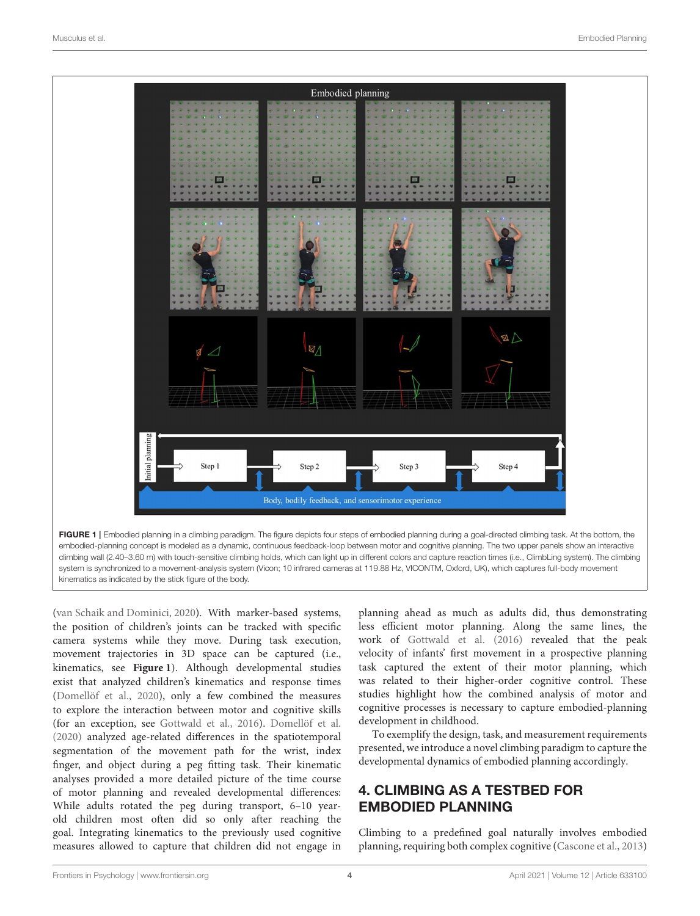

<span id="page-3-0"></span>[\(van Schaik and Dominici, 2020\)](#page-6-26). With marker-based systems, the position of children's joints can be tracked with specific camera systems while they move. During task execution, movement trajectories in 3D space can be captured (i.e., kinematics, see **[Figure 1](#page-3-0)**). Although developmental studies exist that analyzed children's kinematics and response times [\(Domellöf et al., 2020\)](#page-5-5), only a few combined the measures to explore the interaction between motor and cognitive skills (for an exception, see [Gottwald et al., 2016\)](#page-6-8). [Domellöf et al.](#page-5-5) [\(2020\)](#page-5-5) analyzed age-related differences in the spatiotemporal segmentation of the movement path for the wrist, index finger, and object during a peg fitting task. Their kinematic analyses provided a more detailed picture of the time course of motor planning and revealed developmental differences: While adults rotated the peg during transport, 6–10 yearold children most often did so only after reaching the goal. Integrating kinematics to the previously used cognitive measures allowed to capture that children did not engage in

planning ahead as much as adults did, thus demonstrating less efficient motor planning. Along the same lines, the work of [Gottwald et al. \(2016\)](#page-6-8) revealed that the peak velocity of infants' first movement in a prospective planning task captured the extent of their motor planning, which was related to their higher-order cognitive control. These studies highlight how the combined analysis of motor and cognitive processes is necessary to capture embodied-planning development in childhood.

To exemplify the design, task, and measurement requirements presented, we introduce a novel climbing paradigm to capture the developmental dynamics of embodied planning accordingly.

# 4. CLIMBING AS A TESTBED FOR EMBODIED PLANNING

Climbing to a predefined goal naturally involves embodied planning, requiring both complex cognitive [\(Cascone et al., 2013\)](#page-5-17)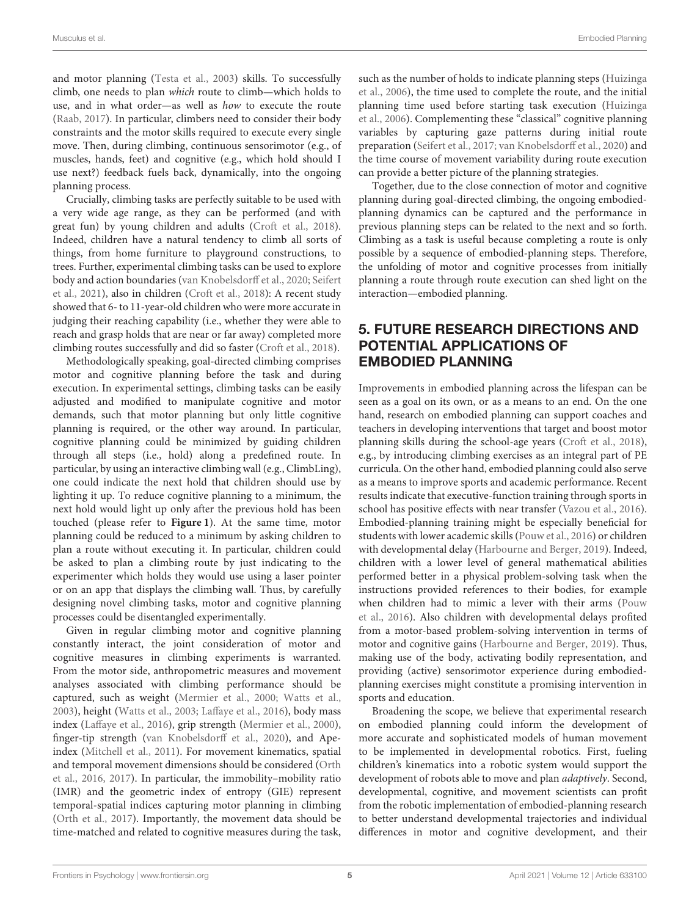and motor planning [\(Testa et al., 2003\)](#page-6-27) skills. To successfully climb, one needs to plan which route to climb—which holds to use, and in what order—as well as how to execute the route [\(Raab, 2017\)](#page-6-20). In particular, climbers need to consider their body constraints and the motor skills required to execute every single move. Then, during climbing, continuous sensorimotor (e.g., of muscles, hands, feet) and cognitive (e.g., which hold should I use next?) feedback fuels back, dynamically, into the ongoing planning process.

Crucially, climbing tasks are perfectly suitable to be used with a very wide age range, as they can be performed (and with great fun) by young children and adults [\(Croft et al., 2018\)](#page-5-18). Indeed, children have a natural tendency to climb all sorts of things, from home furniture to playground constructions, to trees. Further, experimental climbing tasks can be used to explore body and action boundaries [\(van Knobelsdorff et al., 2020;](#page-6-28) Seifert et al., [2021\)](#page-6-29), also in children [\(Croft et al., 2018\)](#page-5-18): A recent study showed that 6- to 11-year-old children who were more accurate in judging their reaching capability (i.e., whether they were able to reach and grasp holds that are near or far away) completed more climbing routes successfully and did so faster [\(Croft et al., 2018\)](#page-5-18).

Methodologically speaking, goal-directed climbing comprises motor and cognitive planning before the task and during execution. In experimental settings, climbing tasks can be easily adjusted and modified to manipulate cognitive and motor demands, such that motor planning but only little cognitive planning is required, or the other way around. In particular, cognitive planning could be minimized by guiding children through all steps (i.e., hold) along a predefined route. In particular, by using an interactive climbing wall (e.g., ClimbLing), one could indicate the next hold that children should use by lighting it up. To reduce cognitive planning to a minimum, the next hold would light up only after the previous hold has been touched (please refer to **[Figure 1](#page-3-0)**). At the same time, motor planning could be reduced to a minimum by asking children to plan a route without executing it. In particular, children could be asked to plan a climbing route by just indicating to the experimenter which holds they would use using a laser pointer or on an app that displays the climbing wall. Thus, by carefully designing novel climbing tasks, motor and cognitive planning processes could be disentangled experimentally.

Given in regular climbing motor and cognitive planning constantly interact, the joint consideration of motor and cognitive measures in climbing experiments is warranted. From the motor side, anthropometric measures and movement analyses associated with climbing performance should be captured, such as weight [\(Mermier et al., 2000;](#page-6-30) [Watts et al.,](#page-6-31) [2003\)](#page-6-31), height [\(Watts et al., 2003;](#page-6-31) [Laffaye et al., 2016\)](#page-6-32), body mass index [\(Laffaye et al., 2016\)](#page-6-32), grip strength [\(Mermier et al., 2000\)](#page-6-30), finger-tip strength [\(van Knobelsdorff et al., 2020\)](#page-6-28), and Apeindex [\(Mitchell et al., 2011\)](#page-6-33). For movement kinematics, spatial and temporal movement dimensions should be considered (Orth et al., [2016,](#page-6-34) [2017\)](#page-6-35). In particular, the immobility–mobility ratio (IMR) and the geometric index of entropy (GIE) represent temporal-spatial indices capturing motor planning in climbing [\(Orth et al., 2017\)](#page-6-35). Importantly, the movement data should be time-matched and related to cognitive measures during the task, such as the number of holds to indicate planning steps (Huizinga et al., [2006\)](#page-6-17), the time used to complete the route, and the initial planning time used before starting task execution (Huizinga et al., [2006\)](#page-6-17). Complementing these "classical" cognitive planning variables by capturing gaze patterns during initial route preparation [\(Seifert et al., 2017;](#page-6-36) [van Knobelsdorff et al., 2020\)](#page-6-28) and the time course of movement variability during route execution can provide a better picture of the planning strategies.

Together, due to the close connection of motor and cognitive planning during goal-directed climbing, the ongoing embodiedplanning dynamics can be captured and the performance in previous planning steps can be related to the next and so forth. Climbing as a task is useful because completing a route is only possible by a sequence of embodied-planning steps. Therefore, the unfolding of motor and cognitive processes from initially planning a route through route execution can shed light on the interaction—embodied planning.

# 5. FUTURE RESEARCH DIRECTIONS AND POTENTIAL APPLICATIONS OF EMBODIED PLANNING

Improvements in embodied planning across the lifespan can be seen as a goal on its own, or as a means to an end. On the one hand, research on embodied planning can support coaches and teachers in developing interventions that target and boost motor planning skills during the school-age years [\(Croft et al., 2018\)](#page-5-18), e.g., by introducing climbing exercises as an integral part of PE curricula. On the other hand, embodied planning could also serve as a means to improve sports and academic performance. Recent results indicate that executive-function training through sports in school has positive effects with near transfer [\(Vazou et al., 2016\)](#page-6-37). Embodied-planning training might be especially beneficial for students with lower academic skills [\(Pouw et al., 2016\)](#page-6-10) or children with developmental delay [\(Harbourne and Berger, 2019\)](#page-6-24). Indeed, children with a lower level of general mathematical abilities performed better in a physical problem-solving task when the instructions provided references to their bodies, for example when children had to mimic a lever with their arms (Pouw et al., [2016\)](#page-6-10). Also children with developmental delays profited from a motor-based problem-solving intervention in terms of motor and cognitive gains [\(Harbourne and Berger, 2019\)](#page-6-24). Thus, making use of the body, activating bodily representation, and providing (active) sensorimotor experience during embodiedplanning exercises might constitute a promising intervention in sports and education.

Broadening the scope, we believe that experimental research on embodied planning could inform the development of more accurate and sophisticated models of human movement to be implemented in developmental robotics. First, fueling children's kinematics into a robotic system would support the development of robots able to move and plan adaptively. Second, developmental, cognitive, and movement scientists can profit from the robotic implementation of embodied-planning research to better understand developmental trajectories and individual differences in motor and cognitive development, and their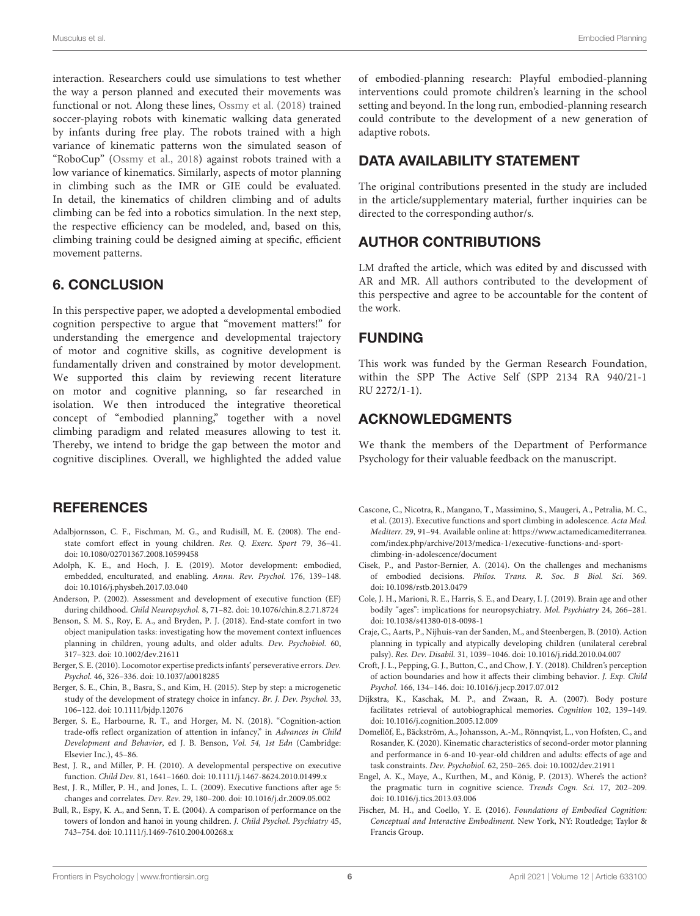interaction. Researchers could use simulations to test whether the way a person planned and executed their movements was functional or not. Along these lines, [Ossmy et al. \(2018\)](#page-6-38) trained soccer-playing robots with kinematic walking data generated by infants during free play. The robots trained with a high variance of kinematic patterns won the simulated season of "RoboCup" [\(Ossmy et al., 2018\)](#page-6-38) against robots trained with a low variance of kinematics. Similarly, aspects of motor planning in climbing such as the IMR or GIE could be evaluated. In detail, the kinematics of children climbing and of adults climbing can be fed into a robotics simulation. In the next step, the respective efficiency can be modeled, and, based on this, climbing training could be designed aiming at specific, efficient movement patterns.

### 6. CONCLUSION

In this perspective paper, we adopted a developmental embodied cognition perspective to argue that "movement matters!" for understanding the emergence and developmental trajectory of motor and cognitive skills, as cognitive development is fundamentally driven and constrained by motor development. We supported this claim by reviewing recent literature on motor and cognitive planning, so far researched in isolation. We then introduced the integrative theoretical concept of "embodied planning," together with a novel climbing paradigm and related measures allowing to test it. Thereby, we intend to bridge the gap between the motor and cognitive disciplines. Overall, we highlighted the added value

#### **REFERENCES**

- <span id="page-5-6"></span>Adalbjornsson, C. F., Fischman, M. G., and Rudisill, M. E. (2008). The endstate comfort effect in young children. Res. Q. Exerc. Sport 79, 36–41. doi: [10.1080/02701367.2008.10599458](https://doi.org/10.1080/02701367.2008.10599458)
- <span id="page-5-3"></span>Adolph, K. E., and Hoch, J. E. (2019). Motor development: embodied, embedded, enculturated, and enabling. Annu. Rev. Psychol. 176, 139–148. doi: [10.1016/j.physbeh.2017.03.040](https://doi.org/10.1016/j.physbeh.2017.03.040)
- <span id="page-5-9"></span>Anderson, P. (2002). Assessment and development of executive function (EF) during childhood. Child Neuropsychol. 8, 71–82. doi: [10.1076/chin.8.2.71.8724](https://doi.org/10.1076/chin.8.2.71.8724)
- <span id="page-5-8"></span>Benson, S. M. S., Roy, E. A., and Bryden, P. J. (2018). End-state comfort in two object manipulation tasks: investigating how the movement context influences planning in children, young adults, and older adults. Dev. Psychobiol. 60, 317–323. doi: [10.1002/dev.21611](https://doi.org/10.1002/dev.21611)
- <span id="page-5-14"></span>Berger, S. E. (2010). Locomotor expertise predicts infants' perseverative errors. Dev. Psychol. 46, 326–336. doi: [10.1037/a0018285](https://doi.org/10.1037/a0018285)
- <span id="page-5-16"></span>Berger, S. E., Chin, B., Basra, S., and Kim, H. (2015). Step by step: a microgenetic study of the development of strategy choice in infancy. Br. J. Dev. Psychol. 33, 106–122. doi: [10.1111/bjdp.12076](https://doi.org/10.1111/bjdp.12076)
- <span id="page-5-15"></span>Berger, S. E., Harbourne, R. T., and Horger, M. N. (2018). "Cognition-action trade-offs reflect organization of attention in infancy," in Advances in Child Development and Behavior, ed J. B. Benson, Vol. 54, 1st Edn (Cambridge: Elsevier Inc.), 45–86.
- <span id="page-5-12"></span>Best, J. R., and Miller, P. H. (2010). A developmental perspective on executive function. Child Dev. 81, 1641–1660. doi: [10.1111/j.1467-8624.2010.01499.x](https://doi.org/10.1111/j.1467-8624.2010.01499.x)
- <span id="page-5-10"></span>Best, J. R., Miller, P. H., and Jones, L. L. (2009). Executive functions after age 5: changes and correlates. Dev. Rev. 29, 180–200. doi: [10.1016/j.dr.2009.05.002](https://doi.org/10.1016/j.dr.2009.05.002)
- <span id="page-5-11"></span>Bull, R., Espy, K. A., and Senn, T. E. (2004). A comparison of performance on the towers of london and hanoi in young children. J. Child Psychol. Psychiatry 45, 743–754. doi: [10.1111/j.1469-7610.2004.00268.x](https://doi.org/10.1111/j.1469-7610.2004.00268.x)

of embodied-planning research: Playful embodied-planning interventions could promote children's learning in the school setting and beyond. In the long run, embodied-planning research could contribute to the development of a new generation of adaptive robots.

#### DATA AVAILABILITY STATEMENT

The original contributions presented in the study are included in the article/supplementary material, further inquiries can be directed to the corresponding author/s.

### AUTHOR CONTRIBUTIONS

LM drafted the article, which was edited by and discussed with AR and MR. All authors contributed to the development of this perspective and agree to be accountable for the content of the work.

#### FUNDING

This work was funded by the German Research Foundation, within the SPP The Active Self (SPP 2134 RA 940/21-1 RU 2272/1-1).

#### ACKNOWLEDGMENTS

We thank the members of the Department of Performance Psychology for their valuable feedback on the manuscript.

- <span id="page-5-17"></span>Cascone, C., Nicotra, R., Mangano, T., Massimino, S., Maugeri, A., Petralia, M. C., et al. (2013). Executive functions and sport climbing in adolescence. Acta Med. Mediterr. 29, 91–94. Available online at: [https://www.actamedicamediterranea.](https://www.actamedicamediterranea.com/index.php/archive/2013/medica-1/executive-functions-and-sport-climbing-in-adolescence/document) [com/index.php/archive/2013/medica-1/executive-functions-and-sport](https://www.actamedicamediterranea.com/index.php/archive/2013/medica-1/executive-functions-and-sport-climbing-in-adolescence/document)[climbing-in-adolescence/document](https://www.actamedicamediterranea.com/index.php/archive/2013/medica-1/executive-functions-and-sport-climbing-in-adolescence/document)
- <span id="page-5-13"></span>Cisek, P., and Pastor-Bernier, A. (2014). On the challenges and mechanisms of embodied decisions. Philos. Trans. R. Soc. B Biol. Sci. 369. doi: [10.1098/rstb.2013.0479](https://doi.org/10.1098/rstb.2013.0479)
- <span id="page-5-4"></span>Cole, J. H., Marioni, R. E., Harris, S. E., and Deary, I. J. (2019). Brain age and other bodily "ages": implications for neuropsychiatry. Mol. Psychiatry 24, 266–281. doi: [10.1038/s41380-018-0098-1](https://doi.org/10.1038/s41380-018-0098-1)
- <span id="page-5-7"></span>Craje, C., Aarts, P., Nijhuis-van der Sanden, M., and Steenbergen, B. (2010). Action planning in typically and atypically developing children (unilateral cerebral palsy). Res. Dev. Disabil. 31, 1039–1046. doi: [10.1016/j.ridd.2010.04.007](https://doi.org/10.1016/j.ridd.2010.04.007)
- <span id="page-5-18"></span>Croft, J. L., Pepping, G. J., Button, C., and Chow, J. Y. (2018). Children's perception of action boundaries and how it affects their climbing behavior. J. Exp. Child Psychol. 166, 134–146. doi: [10.1016/j.jecp.2017.07.012](https://doi.org/10.1016/j.jecp.2017.07.012)
- <span id="page-5-0"></span>Dijkstra, K., Kaschak, M. P., and Zwaan, R. A. (2007). Body posture facilitates retrieval of autobiographical memories. Cognition 102, 139–149. doi: [10.1016/j.cognition.2005.12.009](https://doi.org/10.1016/j.cognition.2005.12.009)
- <span id="page-5-5"></span>Domellöf, E., Bäckström, A., Johansson, A.-M., Rönnqvist, L., von Hofsten, C., and Rosander, K. (2020). Kinematic characteristics of second-order motor planning and performance in 6-and 10-year-old children and adults: effects of age and task constraints. Dev. Psychobiol. 62, 250–265. doi: [10.1002/dev.21911](https://doi.org/10.1002/dev.21911)
- <span id="page-5-2"></span>Engel, A. K., Maye, A., Kurthen, M., and König, P. (2013). Where's the action? the pragmatic turn in cognitive science. Trends Cogn. Sci. 17, 202–209. doi: [10.1016/j.tics.2013.03.006](https://doi.org/10.1016/j.tics.2013.03.006)
- <span id="page-5-1"></span>Fischer, M. H., and Coello, Y. E. (2016). Foundations of Embodied Cognition: Conceptual and Interactive Embodiment. New York, NY: Routledge; Taylor & Francis Group.